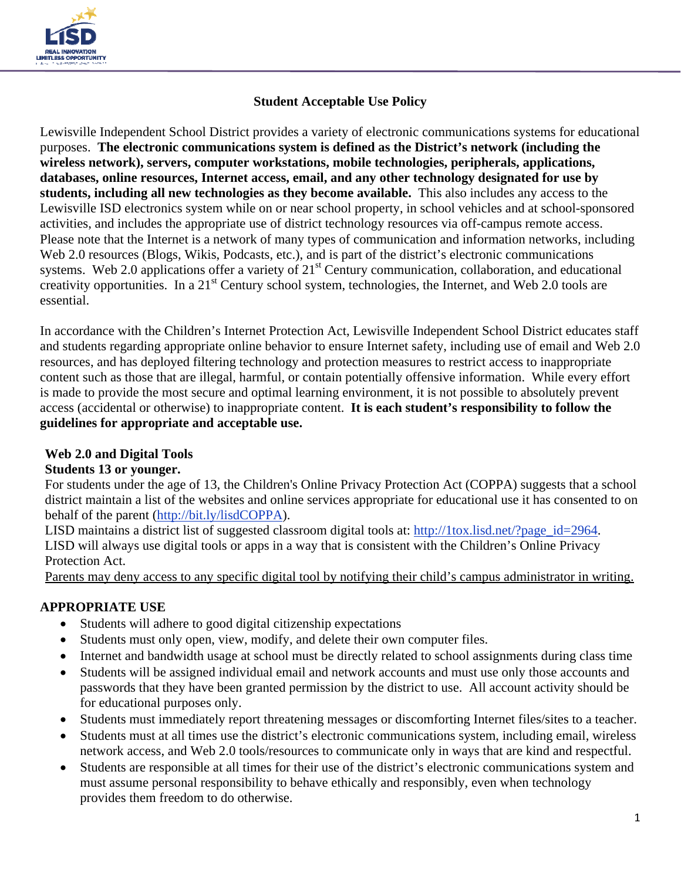

# **Student Acceptable Use Policy**

Lewisville Independent School District provides a variety of electronic communications systems for educational purposes. **The electronic communications system is defined as the District's network (including the wireless network), servers, computer workstations, mobile technologies, peripherals, applications, databases, online resources, Internet access, email, and any other technology designated for use by students, including all new technologies as they become available.** This also includes any access to the Lewisville ISD electronics system while on or near school property, in school vehicles and at school-sponsored activities, and includes the appropriate use of district technology resources via off-campus remote access. Please note that the Internet is a network of many types of communication and information networks, including Web 2.0 resources (Blogs, Wikis, Podcasts, etc.), and is part of the district's electronic communications systems. Web 2.0 applications offer a variety of 21<sup>st</sup> Century communication, collaboration, and educational creativity opportunities. In a 21st Century school system, technologies, the Internet, and Web 2.0 tools are essential.

In accordance with the Children's Internet Protection Act, Lewisville Independent School District educates staff and students regarding appropriate online behavior to ensure Internet safety, including use of email and Web 2.0 resources, and has deployed filtering technology and protection measures to restrict access to inappropriate content such as those that are illegal, harmful, or contain potentially offensive information. While every effort is made to provide the most secure and optimal learning environment, it is not possible to absolutely prevent access (accidental or otherwise) to inappropriate content. **It is each student's responsibility to follow the guidelines for appropriate and acceptable use.**

### **Web 2.0 and Digital Tools**

### **Students 13 or younger.**

For students under the age of 13, the Children's Online Privacy Protection Act (COPPA) suggests that a school district maintain a list of the websites and online services appropriate for educational use it has consented to on behalf of the parent (http://bit.ly/lisdCOPPA).

LISD maintains a district list of suggested classroom digital tools at: http://1tox.lisd.net/?page\_id=2964. LISD will always use digital tools or apps in a way that is consistent with the Children's Online Privacy Protection Act.

Parents may deny access to any specific digital tool by notifying their child's campus administrator in writing.

### **APPROPRIATE USE**

- Students will adhere to good digital citizenship expectations
- Students must only open, view, modify, and delete their own computer files.
- Internet and bandwidth usage at school must be directly related to school assignments during class time
- Students will be assigned individual email and network accounts and must use only those accounts and passwords that they have been granted permission by the district to use. All account activity should be for educational purposes only.
- Students must immediately report threatening messages or discomforting Internet files/sites to a teacher.
- Students must at all times use the district's electronic communications system, including email, wireless network access, and Web 2.0 tools/resources to communicate only in ways that are kind and respectful.
- Students are responsible at all times for their use of the district's electronic communications system and must assume personal responsibility to behave ethically and responsibly, even when technology provides them freedom to do otherwise.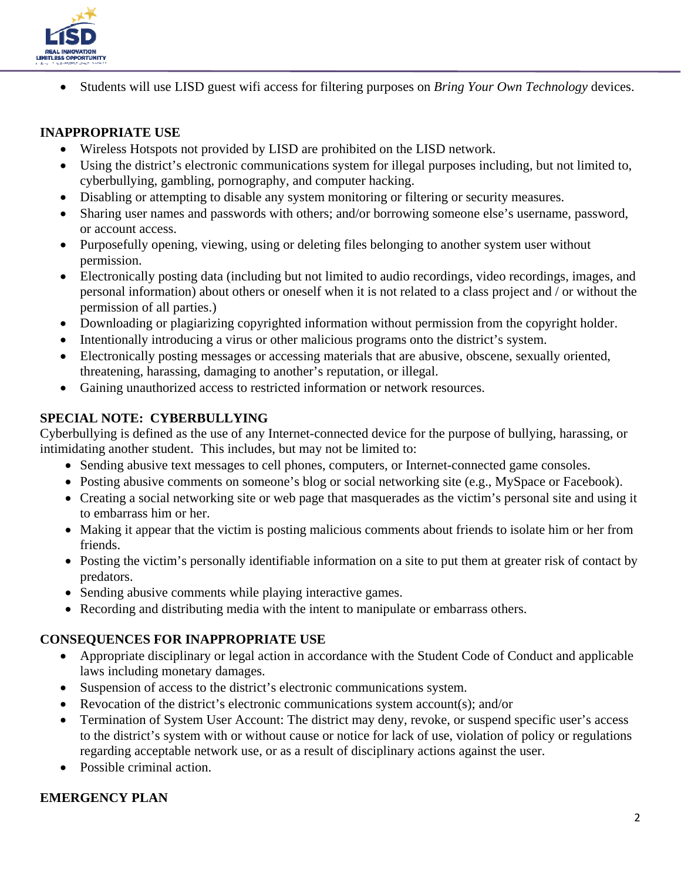

Students will use LISD guest wifi access for filtering purposes on *Bring Your Own Technology* devices.

### **INAPPROPRIATE USE**

- Wireless Hotspots not provided by LISD are prohibited on the LISD network.
- Using the district's electronic communications system for illegal purposes including, but not limited to, cyberbullying, gambling, pornography, and computer hacking.
- Disabling or attempting to disable any system monitoring or filtering or security measures.
- Sharing user names and passwords with others; and/or borrowing someone else's username, password, or account access.
- Purposefully opening, viewing, using or deleting files belonging to another system user without permission.
- Electronically posting data (including but not limited to audio recordings, video recordings, images, and personal information) about others or oneself when it is not related to a class project and / or without the permission of all parties.)
- Downloading or plagiarizing copyrighted information without permission from the copyright holder.
- Intentionally introducing a virus or other malicious programs onto the district's system.
- Electronically posting messages or accessing materials that are abusive, obscene, sexually oriented, threatening, harassing, damaging to another's reputation, or illegal.
- Gaining unauthorized access to restricted information or network resources.

# **SPECIAL NOTE: CYBERBULLYING**

Cyberbullying is defined as the use of any Internet-connected device for the purpose of bullying, harassing, or intimidating another student. This includes, but may not be limited to:

- Sending abusive text messages to cell phones, computers, or Internet-connected game consoles.
- Posting abusive comments on someone's blog or social networking site (e.g., MySpace or Facebook).
- Creating a social networking site or web page that masquerades as the victim's personal site and using it to embarrass him or her.
- Making it appear that the victim is posting malicious comments about friends to isolate him or her from friends.
- Posting the victim's personally identifiable information on a site to put them at greater risk of contact by predators.
- Sending abusive comments while playing interactive games.
- Recording and distributing media with the intent to manipulate or embarrass others.

### **CONSEQUENCES FOR INAPPROPRIATE USE**

- Appropriate disciplinary or legal action in accordance with the Student Code of Conduct and applicable laws including monetary damages.
- Suspension of access to the district's electronic communications system.
- Revocation of the district's electronic communications system account(s); and/or
- Termination of System User Account: The district may deny, revoke, or suspend specific user's access to the district's system with or without cause or notice for lack of use, violation of policy or regulations regarding acceptable network use, or as a result of disciplinary actions against the user.
- Possible criminal action.

# **EMERGENCY PLAN**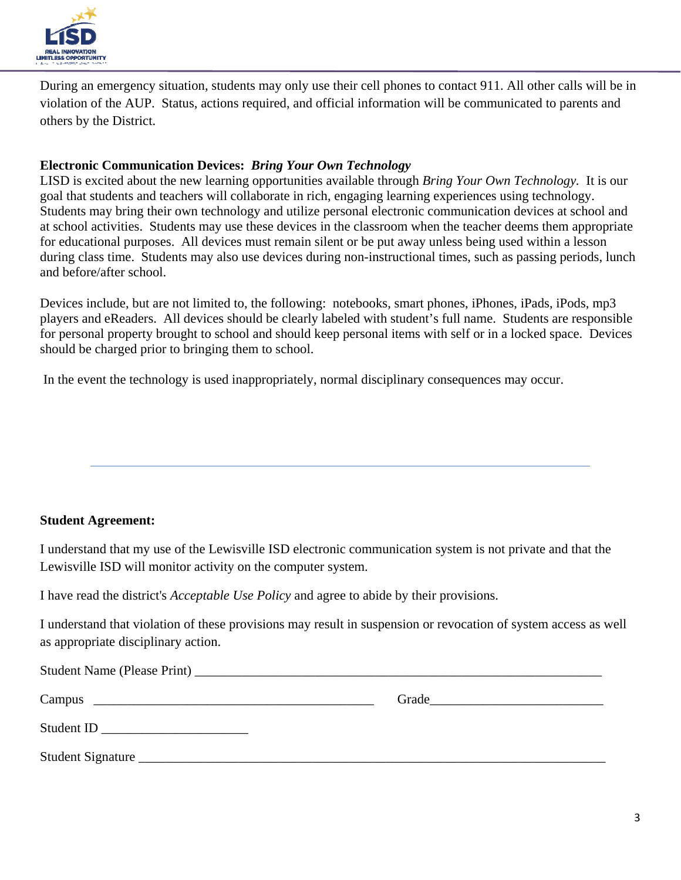

During an emergency situation, students may only use their cell phones to contact 911. All other calls will be in violation of the AUP. Status, actions required, and official information will be communicated to parents and others by the District.

### **Electronic Communication Devices:** *Bring Your Own Technology*

LISD is excited about the new learning opportunities available through *Bring Your Own Technology.* It is our goal that students and teachers will collaborate in rich, engaging learning experiences using technology. Students may bring their own technology and utilize personal electronic communication devices at school and at school activities. Students may use these devices in the classroom when the teacher deems them appropriate for educational purposes. All devices must remain silent or be put away unless being used within a lesson during class time. Students may also use devices during non-instructional times, such as passing periods, lunch and before/after school.

Devices include, but are not limited to, the following: notebooks, smart phones, iPhones, iPads, iPods, mp3 players and eReaders. All devices should be clearly labeled with student's full name. Students are responsible for personal property brought to school and should keep personal items with self or in a locked space. Devices should be charged prior to bringing them to school.

In the event the technology is used inappropriately, normal disciplinary consequences may occur.

### **Student Agreement:**

I understand that my use of the Lewisville ISD electronic communication system is not private and that the Lewisville ISD will monitor activity on the computer system.

I have read the district's *Acceptable Use Policy* and agree to abide by their provisions.

I understand that violation of these provisions may result in suspension or revocation of system access as well as appropriate disciplinary action.

|                   | Grade |  |
|-------------------|-------|--|
| Student ID        |       |  |
| Student Signature |       |  |